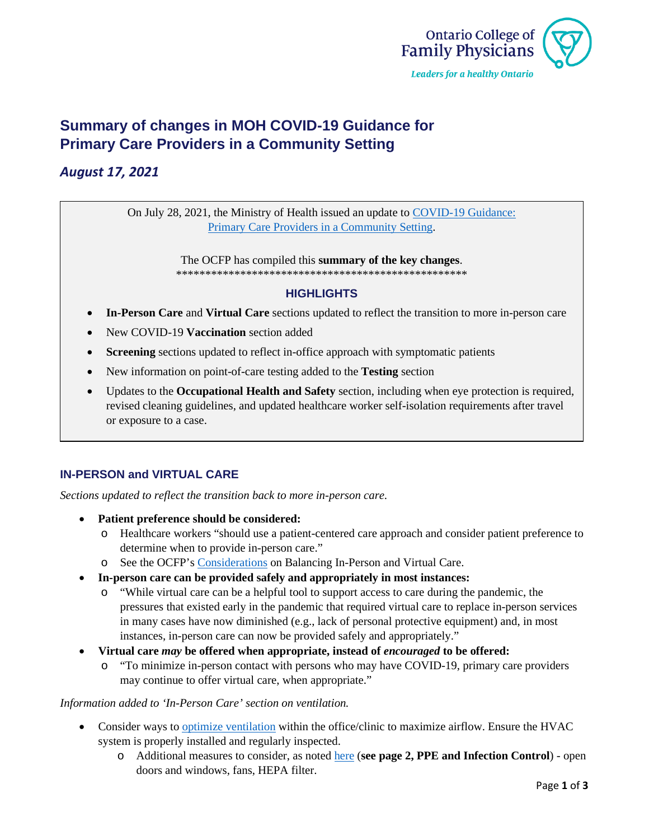

# **Summary of changes in MOH COVID-19 Guidance for Primary Care Providers in a Community Setting**

## *August 17, 2021*

On July 28, 2021, the Ministry of Health issued an update to [COVID-19 Guidance:](https://www.health.gov.on.ca/en/pro/programs/publichealth/coronavirus/docs/2019_primary_care_guidance.pdf) [Primary Care Providers in a](https://www.health.gov.on.ca/en/pro/programs/publichealth/coronavirus/docs/2019_primary_care_guidance.pdf) Community Setting.

> The OCFP has compiled this **summary of the key changes**. \*\*\*\*\*\*\*\*\*\*\*\*\*\*\*\*\*\*\*\*\*\*\*\*\*\*\*\*\*\*\*\*\*\*\*\*\*\*\*\*\*\*\*\*\*\*\*\*\*\*

#### **HIGHLIGHTS**

- **In-Person Care** and **Virtual Care** sections updated to reflect the transition to more in-person care
- New COVID-19 **Vaccination** section added
- **Screening** sections updated to reflect in-office approach with symptomatic patients
- New information on point-of-care testing added to the **Testing** section
- Updates to the **Occupational Health and Safety** section, including when eye protection is required, revised cleaning guidelines, and updated healthcare worker self-isolation requirements after travel or exposure to a case.

#### **IN-PERSON and VIRTUAL CARE**

*Sections updated to reflect the transition back to more in-person care.*

- **Patient preference should be considered:**
	- o Healthcare workers "should use a patient-centered care approach and consider patient preference to determine when to provide in-person care."
	- o See the OCFP's [Considerations](https://www.ontariofamilyphysicians.ca/tools-resources/timely-trending/novel-coronavirus-2019-ncov/ocfp-guidance-in-person-visits.pdf) on Balancing In-Person and Virtual Care.
- **In-person care can be provided safely and appropriately in most instances:**
	- o "While virtual care can be a helpful tool to support access to care during the pandemic, the pressures that existed early in the pandemic that required virtual care to replace in-person services in many cases have now diminished (e.g., lack of personal protective equipment) and, in most instances, in-person care can now be provided safely and appropriately."
- **Virtual care** *may* **be offered when appropriate, instead of** *encouraged* **to be offered:** 
	- o "To minimize in-person contact with persons who may have COVID-19, primary care providers may continue to offer virtual care, when appropriate."

#### *Information added to 'In-Person Care' section on ventilation.*

- Consider ways to [optimize ventilation](https://www.publichealthontario.ca/-/media/documents/ncov/ipac/2020/09/covid-19-hvac-systems-in-buildings.pdf?la=en) within the office/clinic to maximize airflow. Ensure the HVAC system is properly installed and regularly inspected.
	- o Additional measures to consider, as noted [here](https://www.ontariofamilyphysicians.ca/tools-resources/timely-trending/novel-coronavirus-2019-ncov/ocfp-guidance-in-person-visits.pdf) (**see page 2, PPE and Infection Control**) open doors and windows, fans, HEPA filter.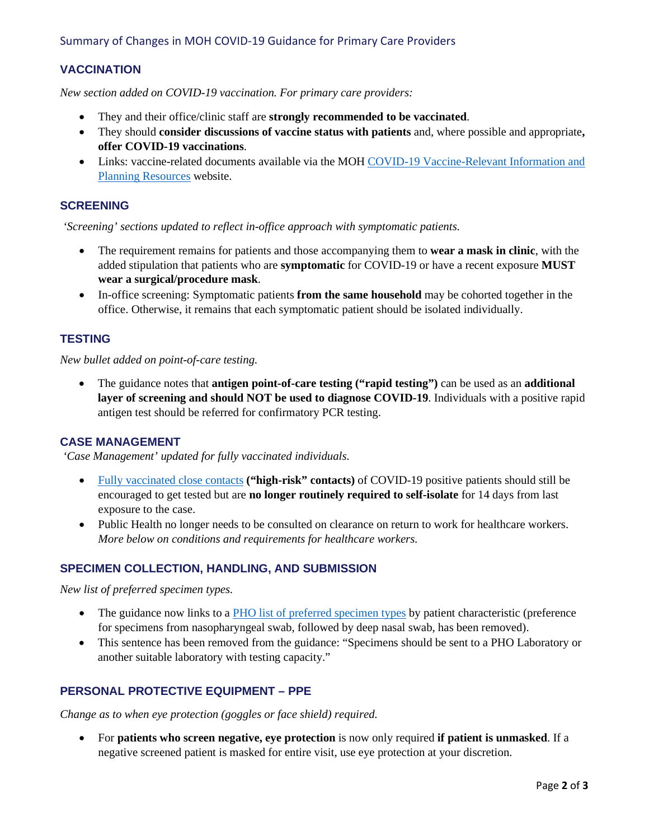#### Summary of Changes in MOH COVID-19 Guidance for Primary Care Providers

## **VACCINATION**

*New section added on COVID-19 vaccination. For primary care providers:*

- They and their office/clinic staff are **strongly recommended to be vaccinated**.
- They should **consider discussions of vaccine status with patients** and, where possible and appropriate**, offer COVID-19 vaccinations**.
- Links: vaccine-related documents available via the MOH COVID-19 Vaccine-Relevant Information and [Planning Resources](https://www.health.gov.on.ca/en/pro/programs/publichealth/coronavirus/covid19_vaccine.aspx) website.

#### **SCREENING**

*'Screening' sections updated to reflect in-office approach with symptomatic patients.*

- The requirement remains for patients and those accompanying them to **wear a mask in clinic**, with the added stipulation that patients who are **symptomatic** for COVID-19 or have a recent exposure **MUST wear a surgical/procedure mask**.
- In-office screening: Symptomatic patients **from the same household** may be cohorted together in the office. Otherwise, it remains that each symptomatic patient should be isolated individually.

#### **TESTING**

*New bullet added on point-of-care testing.*

• The guidance notes that **antigen point-of-care testing ("rapid testing")** can be used as an **additional layer of screening and should NOT be used to diagnose COVID-19**. Individuals with a positive rapid antigen test should be referred for confirmatory PCR testing.

#### **CASE MANAGEMENT**

*'Case Management' updated for fully vaccinated individuals.*

- [Fully vaccinated close contacts](https://www.health.gov.on.ca/en/pro/programs/publichealth/coronavirus/docs/contact_mngmt/COVID-19_fully_vaccinated_interim_guidance.pdf) **("high-risk" contacts)** of COVID-19 positive patients should still be encouraged to get tested but are **no longer routinely required to self-isolate** for 14 days from last exposure to the case.
- Public Health no longer needs to be consulted on clearance on return to work for healthcare workers. *More below on conditions and requirements for healthcare workers.*

#### **SPECIMEN COLLECTION, HANDLING, AND SUBMISSION**

*New list of preferred specimen types.*

- The guidance now links to a [PHO list of preferred specimen types](https://www.publichealthontario.ca/en/laboratory-services/test-information-index/covid-19) by patient characteristic (preference for specimens from nasopharyngeal swab, followed by deep nasal swab, has been removed).
- This sentence has been removed from the guidance: "Specimens should be sent to a PHO Laboratory or another suitable laboratory with testing capacity."

#### **PERSONAL PROTECTIVE EQUIPMENT – PPE**

*Change as to when eye protection (goggles or face shield) required.*

• For **patients who screen negative, eye protection** is now only required **if patient is unmasked**. If a negative screened patient is masked for entire visit, use eye protection at your discretion.